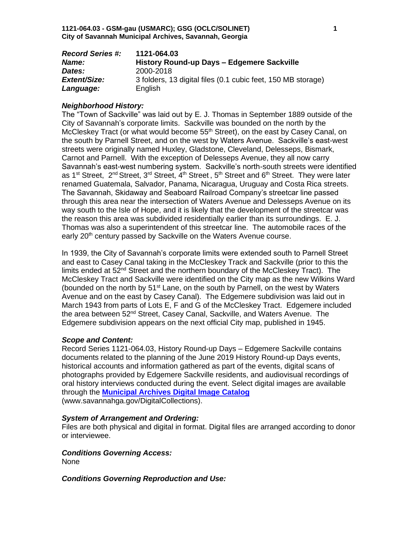| <b>Record Series #:</b> | 1121-064.03                                                  |  |  |
|-------------------------|--------------------------------------------------------------|--|--|
| Name:                   | History Round-up Days - Edgemere Sackville                   |  |  |
| Dates:                  | 2000-2018                                                    |  |  |
| Extent/Size:            | 3 folders, 13 digital files (0.1 cubic feet, 150 MB storage) |  |  |
| Language:               | English                                                      |  |  |

# *Neighborhood History:*

The "Town of Sackville" was laid out by E. J. Thomas in September 1889 outside of the City of Savannah's corporate limits. Sackville was bounded on the north by the McCleskey Tract (or what would become 55<sup>th</sup> Street), on the east by Casey Canal, on the south by Parnell Street, and on the west by Waters Avenue. Sackville's east-west streets were originally named Huxley, Gladstone, Cleveland, Delesseps, Bismark, Carnot and Parnell. With the exception of Delesseps Avenue, they all now carry Savannah's east-west numbering system. Sackville's north-south streets were identified as 1<sup>st</sup> Street, 2<sup>nd</sup> Street, 3<sup>rd</sup> Street, 4<sup>th</sup> Street, 5<sup>th</sup> Street and 6<sup>th</sup> Street. They were later renamed Guatemala, Salvador, Panama, Nicaragua, Uruguay and Costa Rica streets. The Savannah, Skidaway and Seaboard Railroad Company's streetcar line passed through this area near the intersection of Waters Avenue and Delesseps Avenue on its way south to the Isle of Hope, and it is likely that the development of the streetcar was the reason this area was subdivided residentially earlier than its surroundings. E. J. Thomas was also a superintendent of this streetcar line. The automobile races of the early 20<sup>th</sup> century passed by Sackville on the Waters Avenue course.

In 1939, the City of Savannah's corporate limits were extended south to Parnell Street and east to Casey Canal taking in the McCleskey Track and Sackville (prior to this the limits ended at 52<sup>nd</sup> Street and the northern boundary of the McCleskey Tract). The McCleskey Tract and Sackville were identified on the City map as the new Wilkins Ward (bounded on the north by  $51^{st}$  Lane, on the south by Parnell, on the west by Waters Avenue and on the east by Casey Canal). The Edgemere subdivision was laid out in March 1943 from parts of Lots E, F and G of the McCleskey Tract. Edgemere included the area between 52<sup>nd</sup> Street, Casey Canal, Sackville, and Waters Avenue. The Edgemere subdivision appears on the next official City map, published in 1945.

## *Scope and Content:*

Record Series 1121-064.03, History Round-up Days – Edgemere Sackville contains documents related to the planning of the June 2019 History Round-up Days events, historical accounts and information gathered as part of the events, digital scans of photographs provided by Edgemere Sackville residents, and audiovisual recordings of oral history interviews conducted during the event. Select digital images are available through the **Municipal [Archives Digital Image Catalog](http://savannahga.pastperfectonline.com/randomimages)** (www.savannahga.gov/DigitalCollections).

## *System of Arrangement and Ordering:*

Files are both physical and digital in format. Digital files are arranged according to donor or interviewee.

# *Conditions Governing Access:*

None

## *Conditions Governing Reproduction and Use:*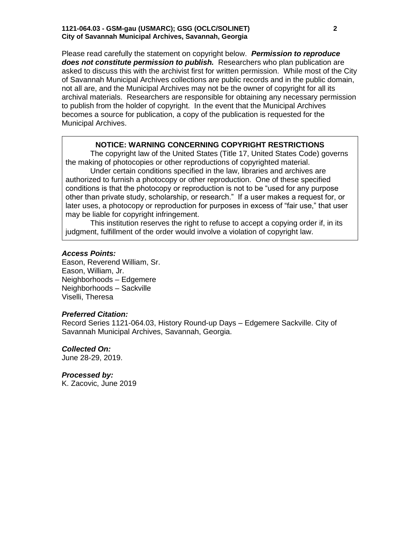Please read carefully the statement on copyright below. *Permission to reproduce does not constitute permission to publish.* Researchers who plan publication are asked to discuss this with the archivist first for written permission. While most of the City of Savannah Municipal Archives collections are public records and in the public domain, not all are, and the Municipal Archives may not be the owner of copyright for all its archival materials. Researchers are responsible for obtaining any necessary permission to publish from the holder of copyright. In the event that the Municipal Archives becomes a source for publication, a copy of the publication is requested for the Municipal Archives.

# **NOTICE: WARNING CONCERNING COPYRIGHT RESTRICTIONS**

The copyright law of the United States (Title 17, United States Code) governs the making of photocopies or other reproductions of copyrighted material.

Under certain conditions specified in the law, libraries and archives are authorized to furnish a photocopy or other reproduction. One of these specified conditions is that the photocopy or reproduction is not to be "used for any purpose other than private study, scholarship, or research." If a user makes a request for, or later uses, a photocopy or reproduction for purposes in excess of "fair use," that user may be liable for copyright infringement.

This institution reserves the right to refuse to accept a copying order if, in its judgment, fulfillment of the order would involve a violation of copyright law.

#### *Access Points:*

Eason, Reverend William, Sr. Eason, William, Jr. Neighborhoods – Edgemere Neighborhoods – Sackville Viselli, Theresa

## *Preferred Citation:*

Record Series 1121-064.03, History Round-up Days – Edgemere Sackville. City of Savannah Municipal Archives, Savannah, Georgia.

## *Collected On:*

June 28-29, 2019.

# *Processed by:*

K. Zacovic, June 2019